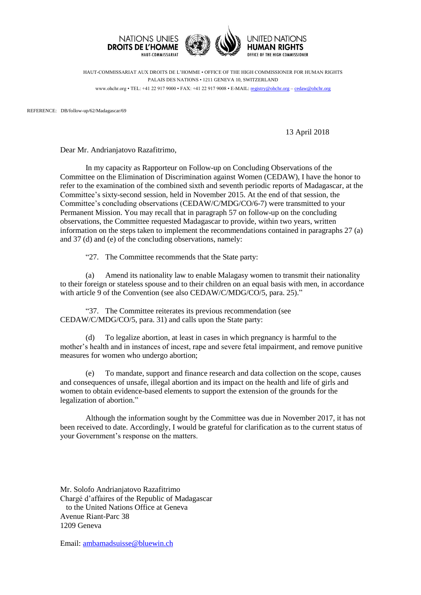

HAUT-COMMISSARIAT AUX DROITS DE L'HOMME • OFFICE OF THE HIGH COMMISSIONER FOR HUMAN RIGHTS PALAIS DES NATIONS • 1211 GENEVA 10, SWITZERLAND www.ohchr.org • TEL: +41 22 917 9000 • FAX: +41 22 917 9008 • E-MAIL: [registry@ohchr.org](mailto:registry@ohchr.org) – [cedaw@ohchr.org](mailto:cedaw@ohchr.org)

REFERENCE: DB/follow-up/62/Madagascar/69

13 April 2018

Dear Mr. Andrianjatovo Razafitrimo,

In my capacity as Rapporteur on Follow-up on Concluding Observations of the Committee on the Elimination of Discrimination against Women (CEDAW), I have the honor to refer to the examination of the combined sixth and seventh periodic reports of Madagascar, at the Committee's sixty-second session, held in November 2015. At the end of that session, the Committee's concluding observations (CEDAW/C/MDG/CO/6-7) were transmitted to your Permanent Mission. You may recall that in paragraph 57 on follow-up on the concluding observations, the Committee requested Madagascar to provide, within two years, written information on the steps taken to implement the recommendations contained in paragraphs 27 (a) and 37 (d) and (e) of the concluding observations, namely:

"27. The Committee recommends that the State party:

(a) Amend its nationality law to enable Malagasy women to transmit their nationality to their foreign or stateless spouse and to their children on an equal basis with men, in accordance with article 9 of the Convention (see also CEDAW/C/MDG/CO/5, para. 25)."

"37. The Committee reiterates its previous recommendation (see CEDAW/C/MDG/CO/5, para. 31) and calls upon the State party:

(d) To legalize abortion, at least in cases in which pregnancy is harmful to the mother's health and in instances of incest, rape and severe fetal impairment, and remove punitive measures for women who undergo abortion;

(e) To mandate, support and finance research and data collection on the scope, causes and consequences of unsafe, illegal abortion and its impact on the health and life of girls and women to obtain evidence-based elements to support the extension of the grounds for the legalization of abortion."

Although the information sought by the Committee was due in November 2017, it has not been received to date. Accordingly, I would be grateful for clarification as to the current status of your Government's response on the matters.

Mr. Solofo Andrianjatovo Razafitrimo Chargé d'affaires of the Republic of Madagascar to the United Nations Office at Geneva Avenue Riant-Parc 38 1209 Geneva

Email: [ambamadsuisse@bluewin.ch](mailto:ambamadsuisse@bluewin.ch)